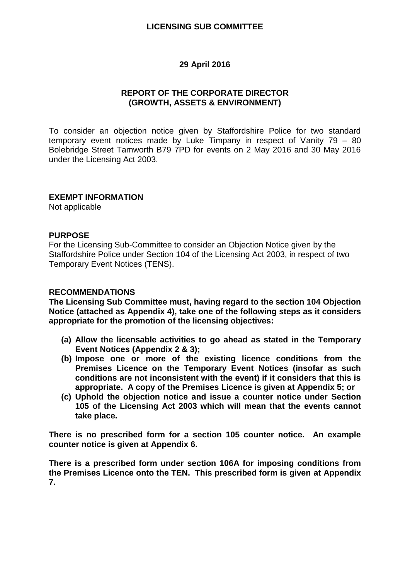## **LICENSING SUB COMMITTEE**

## **29 April 2016**

## **REPORT OF THE CORPORATE DIRECTOR (GROWTH, ASSETS & ENVIRONMENT)**

To consider an objection notice given by Staffordshire Police for two standard temporary event notices made by Luke Timpany in respect of Vanity 79 – 80 Bolebridge Street Tamworth B79 7PD for events on 2 May 2016 and 30 May 2016 under the Licensing Act 2003.

## **EXEMPT INFORMATION**

Not applicable

## **PURPOSE**

For the Licensing Sub-Committee to consider an Objection Notice given by the Staffordshire Police under Section 104 of the Licensing Act 2003, in respect of two Temporary Event Notices (TENS).

#### **RECOMMENDATIONS**

**The Licensing Sub Committee must, having regard to the section 104 Objection Notice (attached as Appendix 4), take one of the following steps as it considers appropriate for the promotion of the licensing objectives:**

- **(a) Allow the licensable activities to go ahead as stated in the Temporary Event Notices (Appendix 2 & 3);**
- **(b) Impose one or more of the existing licence conditions from the Premises Licence on the Temporary Event Notices (insofar as such conditions are not inconsistent with the event) if it considers that this is appropriate. A copy of the Premises Licence is given at Appendix 5; or**
- **(c) Uphold the objection notice and issue a counter notice under Section 105 of the Licensing Act 2003 which will mean that the events cannot take place.**

**There is no prescribed form for a section 105 counter notice. An example counter notice is given at Appendix 6.**

**There is a prescribed form under section 106A for imposing conditions from the Premises Licence onto the TEN. This prescribed form is given at Appendix 7.**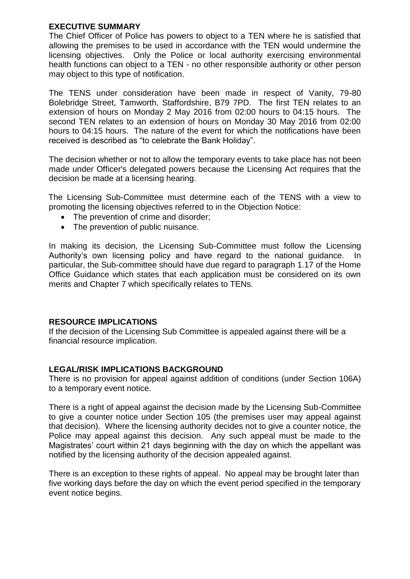# **EXECUTIVE SUMMARY**

The Chief Officer of Police has powers to object to a TEN where he is satisfied that allowing the premises to be used in accordance with the TEN would undermine the licensing objectives. Only the Police or local authority exercising environmental health functions can object to a TEN - no other responsible authority or other person may object to this type of notification.

The TENS under consideration have been made in respect of Vanity, 79-80 Bolebridge Street, Tamworth, Staffordshire, B79 7PD. The first TEN relates to an extension of hours on Monday 2 May 2016 from 02:00 hours to 04:15 hours. The second TEN relates to an extension of hours on Monday 30 May 2016 from 02:00 hours to 04:15 hours. The nature of the event for which the notifications have been received is described as "to celebrate the Bank Holiday".

The decision whether or not to allow the temporary events to take place has not been made under Officer's delegated powers because the Licensing Act requires that the decision be made at a licensing hearing.

The Licensing Sub-Committee must determine each of the TENS with a view to promoting the licensing objectives referred to in the Objection Notice:

- The prevention of crime and disorder:
- The prevention of public nuisance.

In making its decision, the Licensing Sub-Committee must follow the Licensing Authority's own licensing policy and have regard to the national guidance. In particular, the Sub-committee should have due regard to paragraph 1.17 of the Home Office Guidance which states that each application must be considered on its own merits and Chapter 7 which specifically relates to TENs.

# **RESOURCE IMPLICATIONS**

If the decision of the Licensing Sub Committee is appealed against there will be a financial resource implication.

# **LEGAL/RISK IMPLICATIONS BACKGROUND**

There is no provision for appeal against addition of conditions (under Section 106A) to a temporary event notice.

There is a right of appeal against the decision made by the Licensing Sub-Committee to give a counter notice under Section 105 (the premises user may appeal against that decision). Where the licensing authority decides not to give a counter notice, the Police may appeal against this decision. Any such appeal must be made to the Magistrates' court within 21 days beginning with the day on which the appellant was notified by the licensing authority of the decision appealed against.

There is an exception to these rights of appeal. No appeal may be brought later than five working days before the day on which the event period specified in the temporary event notice begins.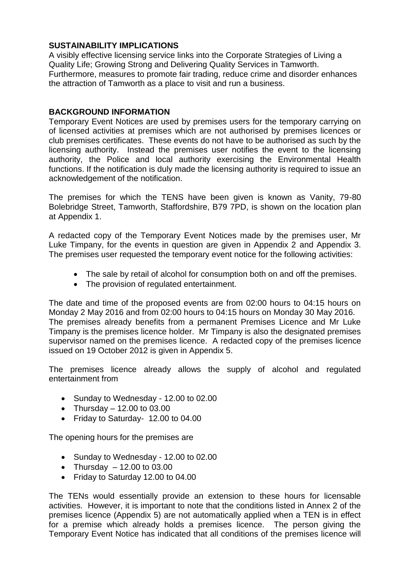# **SUSTAINABILITY IMPLICATIONS**

A visibly effective licensing service links into the Corporate Strategies of Living a Quality Life; Growing Strong and Delivering Quality Services in Tamworth. Furthermore, measures to promote fair trading, reduce crime and disorder enhances the attraction of Tamworth as a place to visit and run a business.

# **BACKGROUND INFORMATION**

Temporary Event Notices are used by premises users for the temporary carrying on of licensed activities at premises which are not authorised by premises licences or club premises certificates. These events do not have to be authorised as such by the licensing authority. Instead the premises user notifies the event to the licensing authority, the Police and local authority exercising the Environmental Health functions. If the notification is duly made the licensing authority is required to issue an acknowledgement of the notification.

The premises for which the TENS have been given is known as Vanity, 79-80 Bolebridge Street, Tamworth, Staffordshire, B79 7PD, is shown on the location plan at Appendix 1.

A redacted copy of the Temporary Event Notices made by the premises user, Mr Luke Timpany, for the events in question are given in Appendix 2 and Appendix 3. The premises user requested the temporary event notice for the following activities:

- The sale by retail of alcohol for consumption both on and off the premises.
- The provision of regulated entertainment.

The date and time of the proposed events are from 02:00 hours to 04:15 hours on Monday 2 May 2016 and from 02:00 hours to 04:15 hours on Monday 30 May 2016. The premises already benefits from a permanent Premises Licence and Mr Luke Timpany is the premises licence holder. Mr Timpany is also the designated premises supervisor named on the premises licence. A redacted copy of the premises licence issued on 19 October 2012 is given in Appendix 5.

The premises licence already allows the supply of alcohol and regulated entertainment from

- Sunday to Wednesday 12.00 to 02.00
- Thursday  $-12.00$  to 03.00
- Friday to Saturday- 12.00 to 04.00

The opening hours for the premises are

- Sunday to Wednesday 12.00 to 02.00
- Thursday  $-12.00$  to 03.00
- Friday to Saturday 12.00 to 04.00

The TENs would essentially provide an extension to these hours for licensable activities. However, it is important to note that the conditions listed in Annex 2 of the premises licence (Appendix 5) are not automatically applied when a TEN is in effect for a premise which already holds a premises licence. The person giving the Temporary Event Notice has indicated that all conditions of the premises licence will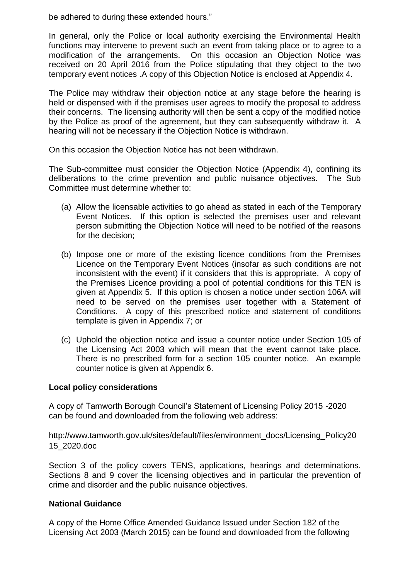be adhered to during these extended hours."

In general, only the Police or local authority exercising the Environmental Health functions may intervene to prevent such an event from taking place or to agree to a modification of the arrangements. On this occasion an Objection Notice was received on 20 April 2016 from the Police stipulating that they object to the two temporary event notices .A copy of this Objection Notice is enclosed at Appendix 4.

The Police may withdraw their objection notice at any stage before the hearing is held or dispensed with if the premises user agrees to modify the proposal to address their concerns. The licensing authority will then be sent a copy of the modified notice by the Police as proof of the agreement, but they can subsequently withdraw it. A hearing will not be necessary if the Objection Notice is withdrawn.

On this occasion the Objection Notice has not been withdrawn.

The Sub-committee must consider the Objection Notice (Appendix 4), confining its deliberations to the crime prevention and public nuisance objectives. The Sub Committee must determine whether to:

- (a) Allow the licensable activities to go ahead as stated in each of the Temporary Event Notices. If this option is selected the premises user and relevant person submitting the Objection Notice will need to be notified of the reasons for the decision;
- (b) Impose one or more of the existing licence conditions from the Premises Licence on the Temporary Event Notices (insofar as such conditions are not inconsistent with the event) if it considers that this is appropriate. A copy of the Premises Licence providing a pool of potential conditions for this TEN is given at Appendix 5. If this option is chosen a notice under section 106A will need to be served on the premises user together with a Statement of Conditions. A copy of this prescribed notice and statement of conditions template is given in Appendix 7; or
- (c) Uphold the objection notice and issue a counter notice under Section 105 of the Licensing Act 2003 which will mean that the event cannot take place. There is no prescribed form for a section 105 counter notice. An example counter notice is given at Appendix 6.

# **Local policy considerations**

A copy of Tamworth Borough Council's Statement of Licensing Policy 2015 -2020 can be found and downloaded from the following web address:

[http://www.tamworth.gov.uk/sites/default/files/environment\\_docs/Licensing\\_Policy20](http://www.tamworth.gov.uk/sites/default/files/environment_docs/Licensing_Policy2015_2020.doc) [15\\_2020.doc](http://www.tamworth.gov.uk/sites/default/files/environment_docs/Licensing_Policy2015_2020.doc)

Section 3 of the policy covers TENS, applications, hearings and determinations. Sections 8 and 9 cover the licensing objectives and in particular the prevention of crime and disorder and the public nuisance objectives.

# **National Guidance**

A copy of the Home Office Amended Guidance Issued under Section 182 of the Licensing Act 2003 (March 2015) can be found and downloaded from the following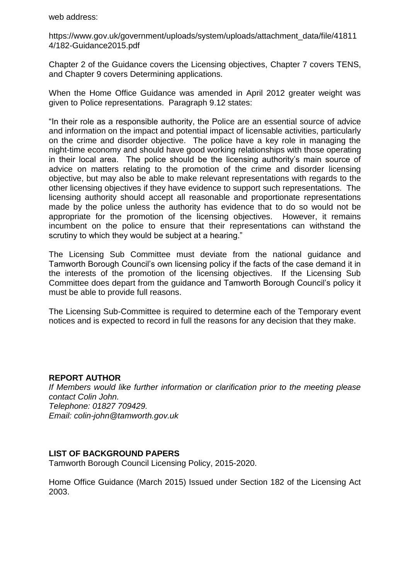web address:

[https://www.gov.uk/government/uploads/system/uploads/attachment\\_data/file/41811](https://www.gov.uk/government/uploads/system/uploads/attachment_data/file/418114/182-Guidance2015.pdf) [4/182-Guidance2015.pdf](https://www.gov.uk/government/uploads/system/uploads/attachment_data/file/418114/182-Guidance2015.pdf)

Chapter 2 of the Guidance covers the Licensing objectives, Chapter 7 covers TENS, and Chapter 9 covers Determining applications.

When the Home Office Guidance was amended in April 2012 greater weight was given to Police representations. Paragraph 9.12 states:

"In their role as a responsible authority, the Police are an essential source of advice and information on the impact and potential impact of licensable activities, particularly on the crime and disorder objective. The police have a key role in managing the night-time economy and should have good working relationships with those operating in their local area. The police should be the licensing authority's main source of advice on matters relating to the promotion of the crime and disorder licensing objective, but may also be able to make relevant representations with regards to the other licensing objectives if they have evidence to support such representations. The licensing authority should accept all reasonable and proportionate representations made by the police unless the authority has evidence that to do so would not be appropriate for the promotion of the licensing objectives. However, it remains incumbent on the police to ensure that their representations can withstand the scrutiny to which they would be subject at a hearing."

The Licensing Sub Committee must deviate from the national guidance and Tamworth Borough Council's own licensing policy if the facts of the case demand it in the interests of the promotion of the licensing objectives. If the Licensing Sub Committee does depart from the guidance and Tamworth Borough Council's policy it must be able to provide full reasons.

The Licensing Sub-Committee is required to determine each of the Temporary event notices and is expected to record in full the reasons for any decision that they make.

#### **REPORT AUTHOR**

*If Members would like further information or clarification prior to the meeting please contact Colin John. Telephone: 01827 709429. Email: colin-john@tamworth.gov.uk*

# **LIST OF BACKGROUND PAPERS**

Tamworth Borough Council Licensing Policy, 2015-2020.

Home Office Guidance (March 2015) Issued under Section 182 of the Licensing Act 2003.